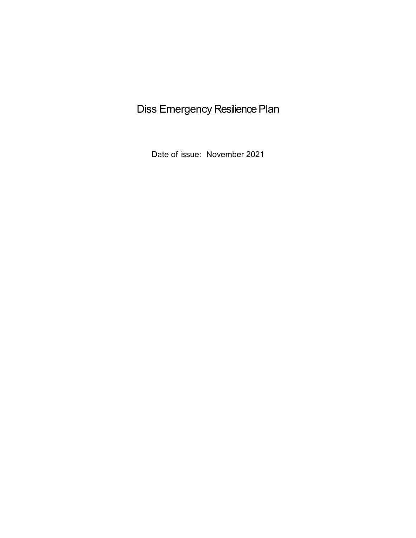# Diss Emergency Resilience Plan

Date of issue: November 2021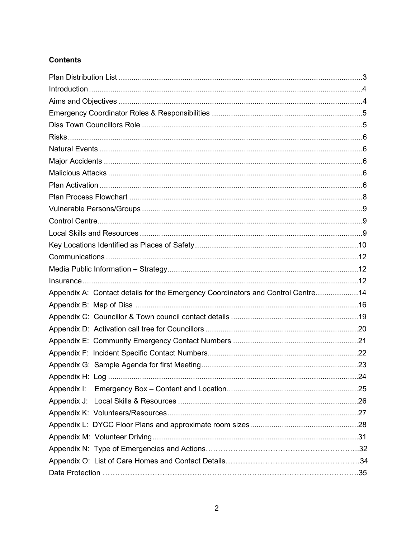### **Contents**

<span id="page-1-0"></span>

| Appendix A: Contact details for the Emergency Coordinators and Control Centre14 |  |
|---------------------------------------------------------------------------------|--|
|                                                                                 |  |
|                                                                                 |  |
|                                                                                 |  |
|                                                                                 |  |
|                                                                                 |  |
|                                                                                 |  |
|                                                                                 |  |
|                                                                                 |  |
|                                                                                 |  |
|                                                                                 |  |
|                                                                                 |  |
|                                                                                 |  |
|                                                                                 |  |
|                                                                                 |  |
|                                                                                 |  |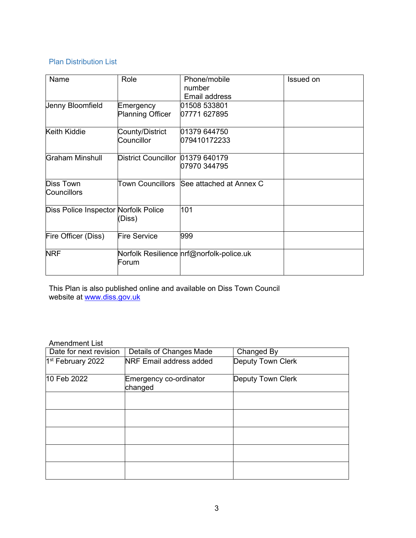### Plan Distribution List

| Name                                 | Role                    | Phone/mobile<br>number                    | Issued on |
|--------------------------------------|-------------------------|-------------------------------------------|-----------|
|                                      |                         | Email address                             |           |
| Jenny Bloomfield                     | Emergency               | 01508 533801                              |           |
|                                      | <b>Planning Officer</b> | 07771 627895                              |           |
| Keith Kiddie                         | County/District         | 01379 644750                              |           |
|                                      | Councillor              | 079410172233                              |           |
| Graham Minshull                      | District Councillor     | 01379 640179                              |           |
|                                      |                         | 07970 344795                              |           |
| <b>Diss Town</b>                     |                         | Town Councillors SSee attached at Annex C |           |
| Councillors                          |                         |                                           |           |
| Diss Police Inspector Norfolk Police | (Diss)                  | 101                                       |           |
| Fire Officer (Diss)                  | <b>Fire Service</b>     | 999                                       |           |
| <b>NRF</b>                           | Forum                   | Norfolk Resilience nrf@norfolk-police.uk  |           |

This Plan is also published online and available on Diss Town Council website at <u>www.diss.gov.uk</u>

### Amendment List

| Date for next revision        | Details of Changes Made           | Changed By        |
|-------------------------------|-----------------------------------|-------------------|
| 1 <sup>st</sup> February 2022 | <b>NRF Email address added</b>    | Deputy Town Clerk |
| 10 Feb 2022                   | Emergency co-ordinator<br>changed | Deputy Town Clerk |
|                               |                                   |                   |
|                               |                                   |                   |
|                               |                                   |                   |
|                               |                                   |                   |
|                               |                                   |                   |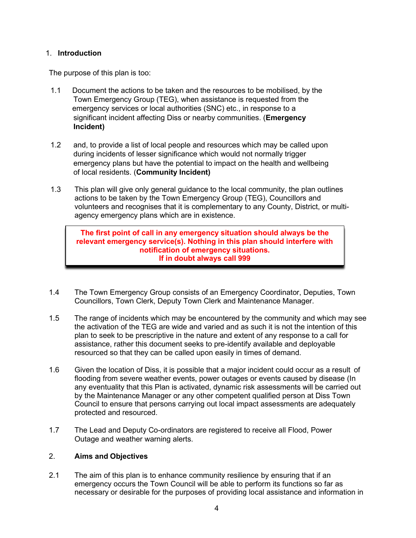### <span id="page-3-0"></span>1. **Introduction**

The purpose of this plan is too:

- 1.1 Document the actions to be taken and the resources to be mobilised, by the Town Emergency Group (TEG), when assistance is requested from the emergency services or local authorities (SNC) etc., in response to a significant incident affecting Diss or nearby communities. (**Emergency Incident)**
- 1.2 and, to provide a list of local people and resources which may be called upon during incidents of lesser significance which would not normally trigger emergency plans but have the potential to impact on the health and wellbeing of local residents. (**Community Incident)**
- 1.3 This plan will give only general guidance to the local community, the plan outlines actions to be taken by the Town Emergency Group (TEG), Councillors and volunteers and recognises that it is complementary to any County, District, or multiagency emergency plans which are in existence.

**The first point of call in any emergency situation should always be the relevant emergency service(s). Nothing in this plan should interfere with notification of emergency situations. If in doubt always call 999**

- 1.4 The Town Emergency Group consists of an Emergency Coordinator, Deputies, Town Councillors, Town Clerk, Deputy Town Clerk and Maintenance Manager.
- 1.5 The range of incidents which may be encountered by the community and which may see the activation of the TEG are wide and varied and as such it is not the intention of this plan to seek to be prescriptive in the nature and extent of any response to a call for assistance, rather this document seeks to pre-identify available and deployable resourced so that they can be called upon easily in times of demand.
- 1.6 Given the location of Diss, it is possible that a major incident could occur as a result of flooding from severe weather events, power outages or events caused by disease (In any eventuality that this Plan is activated, dynamic risk assessments will be carried out by the Maintenance Manager or any other competent qualified person at Diss Town Council to ensure that persons carrying out local impact assessments are adequately protected and resourced.
- <span id="page-3-1"></span>1.7 The Lead and Deputy Co-ordinators are registered to receive all Flood, Power Outage and weather warning alerts.

### 2. **Aims and Objectives**

2.1 The aim of this plan is to enhance community resilience by ensuring that if an emergency occurs the Town Council will be able to perform its functions so far as necessary or desirable for the purposes of providing local assistance and information in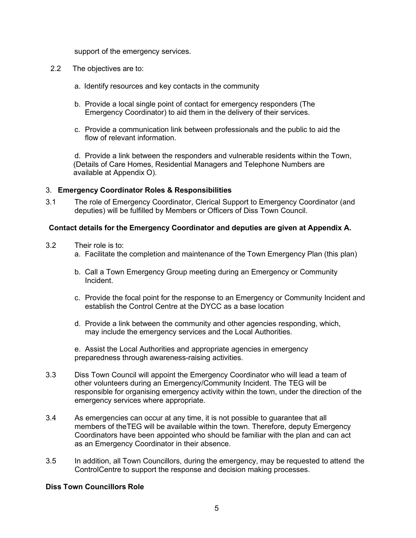support of the emergency services.

- 2.2 The objectives are to:
	- a. Identify resources and key contacts in the community
	- b. Provide a local single point of contact for emergency responders (The Emergency Coordinator) to aid them in the delivery of their services.
	- c. Provide a communication link between professionals and the public to aid the flow of relevant information.

d. Provide a link between the responders and vulnerable residents within the Town, (Details of Care Homes, Residential Managers and Telephone Numbers are available at Appendix O).

#### <span id="page-4-0"></span>3. **Emergency Coordinator Roles & Responsibilities**

3.1 The role of Emergency Coordinator, Clerical Support to Emergency Coordinator (and deputies) will be fulfilled by Members or Officers of Diss Town Council.

#### **Contact details for the Emergency Coordinator and deputies are given at Appendix A.**

- 3.2 Their role is to:
	- a. Facilitate the completion and maintenance of the Town Emergency Plan (this plan)
	- b. Call a Town Emergency Group meeting during an Emergency or Community Incident.
	- c. Provide the focal point for the response to an Emergency or Community Incident and establish the Control Centre at the DYCC as a base location
	- d. Provide a link between the community and other agencies responding, which, may include the emergency services and the Local Authorities.
	- e. Assist the Local Authorities and appropriate agencies in emergency preparedness through awareness-raising activities.
- 3.3 Diss Town Council will appoint the Emergency Coordinator who will lead a team of other volunteers during an Emergency/Community Incident. The TEG will be responsible for organising emergency activity within the town, under the direction of the emergency services where appropriate.
- 3.4 As emergencies can occur at any time, it is not possible to guarantee that all members of theTEG will be available within the town. Therefore, deputy Emergency Coordinators have been appointed who should be familiar with the plan and can act as an Emergency Coordinator in their absence.
- <span id="page-4-1"></span>3.5 In addition, all Town Councillors, during the emergency, may be requested to attend the ControlCentre to support the response and decision making processes.

#### **Diss Town Councillors Role**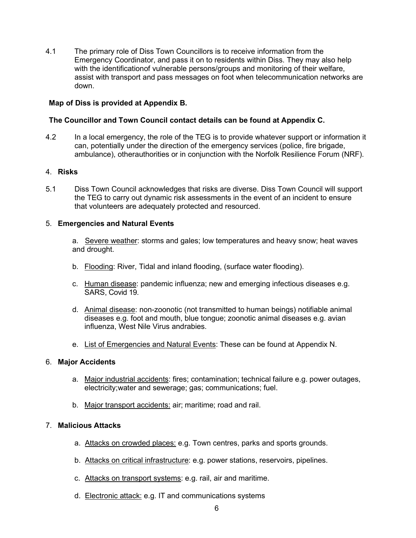4.1 The primary role of Diss Town Councillors is to receive information from the Emergency Coordinator, and pass it on to residents within Diss. They may also help with the identificationof vulnerable persons/groups and monitoring of their welfare, assist with transport and pass messages on foot when telecommunication networks are down.

### **Map of Diss is provided at Appendix B.**

### **The Councillor and Town Council contact details can be found at Appendix C.**

4.2 In a local emergency, the role of the TEG is to provide whatever support or information it can, potentially under the direction of the emergency services (police, fire brigade, ambulance), otherauthorities or in conjunction with the Norfolk Resilience Forum (NRF).

#### <span id="page-5-0"></span>4. **Risks**

5.1 Diss Town Council acknowledges that risks are diverse. Diss Town Council will support the TEG to carry out dynamic risk assessments in the event of an incident to ensure that volunteers are adequately protected and resourced.

#### 5. **Emergencies and Natural Events**

a. Severe weather: storms and gales; low temperatures and heavy snow; heat waves and drought.

- b. Flooding: River, Tidal and inland flooding, (surface water flooding).
- c. Human disease: pandemic influenza; new and emerging infectious diseases e.g. SARS, Covid 19.
- d. Animal disease: non-zoonotic (not transmitted to human beings) notifiable animal diseases e.g. foot and mouth, blue tongue; zoonotic animal diseases e.g. avian influenza, West Nile Virus andrabies.
- e. List of Emergencies and Natural Events: These can be found at Appendix N.

### 6. **Major Accidents**

- a. Major industrial accidents: fires; contamination; technical failure e.g. power outages, electricity;water and sewerage; gas; communications; fuel.
- b. Major transport accidents: air; maritime; road and rail.

### 7. **Malicious Attacks**

- a. Attacks on crowded places: e.g. Town centres, parks and sports grounds.
- b. Attacks on critical infrastructure: e.g. power stations, reservoirs, pipelines.
- c. Attacks on transport systems: e.g. rail, air and maritime.
- <span id="page-5-1"></span>d. Electronic attack: e.g. IT and communications systems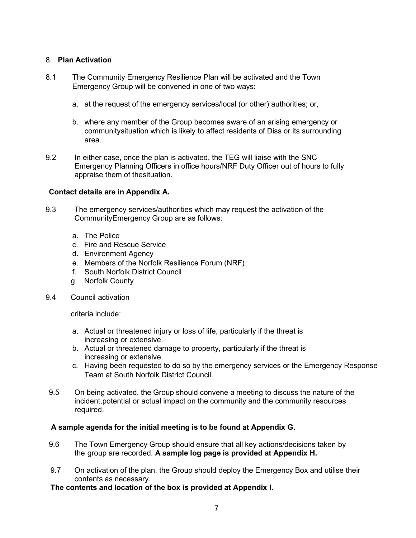### 8. **Plan Activation**

- 8.1 The Community Emergency Resilience Plan will be activated and the Town Emergency Group will be convened in one of two ways:
	- a. at the request of the emergency services/local (or other) authorities; or,
	- b. where any member of the Group becomes aware of an arising emergency or communitysituation which is likely to affect residents of Diss or its surrounding area.
- 9.2 In either case, once the plan is activated, the TEG will liaise with the SNC Emergency Planning Officers in office hours/NRF Duty Officer out of hours to fully appraise them of thesituation.

### **Contact details are in Appendix A.**

- 9.3 The emergency services/authorities which may request the activation of the CommunityEmergency Group are as follows:
	- a. The Police
	- c. Fire and Rescue Service
	- d. Environment Agency
	- e. Members of the Norfolk Resilience Forum (NRF)
	- f. South Norfolk District Council
	- g. Norfolk County
- 9.4 Council activation

criteria include:

- a. Actual or threatened injury or loss of life, particularly if the threat is increasing or extensive.
- b. Actual or threatened damage to property, particularly if the threat is increasing or extensive.
- c. Having been requested to do so by the emergency services or the Emergency Response Team at South Norfolk District Council.
- 9.5 On being activated, the Group should convene a meeting to discuss the nature of the incident,potential or actual impact on the community and the community resources required.

### **A sample agenda for the initial meeting is to be found at Appendix G.**

- 9.6 The Town Emergency Group should ensure that all key actions/decisions taken by the group are recorded. **A sample log page is provided at Appendix H.**
- 9.7 On activation of the plan, the Group should deploy the Emergency Box and utilise their contents as necessary.

**The contents and location of the box is provided at Appendix I.**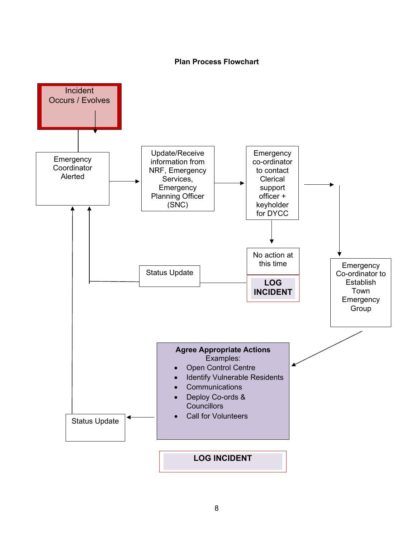#### **Plan Process Flowchart**

<span id="page-7-0"></span>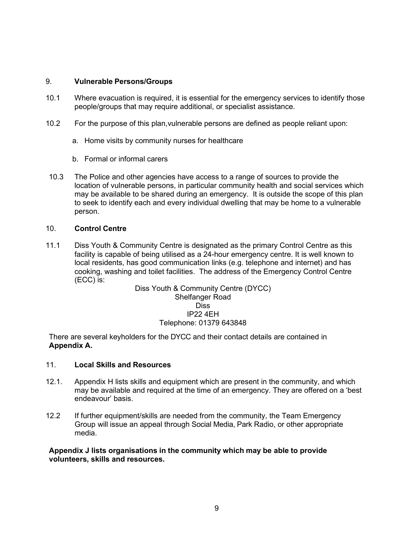### 9. **Vulnerable Persons/Groups**

- 10.1 Where evacuation is required, it is essential for the emergency services to identify those people/groups that may require additional, or specialist assistance.
- 10.2 For the purpose of this plan,vulnerable persons are defined as people reliant upon:
	- a. Home visits by community nurses for healthcare
	- b. Formal or informal carers
- 10.3 The Police and other agencies have access to a range of sources to provide the location of vulnerable persons, in particular community health and social services which may be available to be shared during an emergency. It is outside the scope of this plan to seek to identify each and every individual dwelling that may be home to a vulnerable person.

#### <span id="page-8-0"></span>10. **Control Centre**

11.1 Diss Youth & Community Centre is designated as the primary Control Centre as this facility is capable of being utilised as a 24-hour emergency centre. It is well known to local residents, has good communication links (e.g. telephone and internet) and has cooking, washing and toilet facilities. The address of the Emergency Control Centre (ECC) is:

Diss Youth & Community Centre (DYCC) Shelfanger Road Diss IP22 4EH Telephone: 01379 643848

There are several keyholders for the DYCC and their contact details are contained in **Appendix A.**

#### 11. **Local Skills and Resources**

- 12.1. Appendix H lists skills and equipment which are present in the community, and which may be available and required at the time of an emergency. They are offered on a 'best endeavour' basis.
- 12.2 If further equipment/skills are needed from the community, the Team Emergency Group will issue an appeal through Social Media, Park Radio, or other appropriate media.

<span id="page-8-1"></span>**Appendix J lists organisations in the community which may be able to provide volunteers, skills and resources.**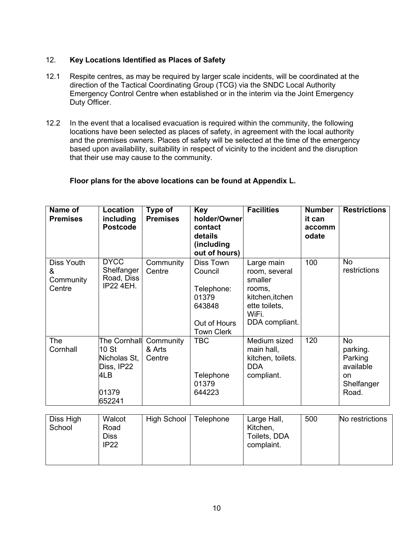### 12. **Key Locations Identified as Places of Safety**

- 12.1 Respite centres, as may be required by larger scale incidents, will be coordinated at the direction of the Tactical Coordinating Group (TCG) via the SNDC Local Authority Emergency Control Centre when established or in the interim via the Joint Emergency Duty Officer.
- 12.2 In the event that a localised evacuation is required within the community, the following locations have been selected as places of safety, in agreement with the local authority and the premises owners. Places of safety will be selected at the time of the emergency based upon availability, suitability in respect of vicinity to the incident and the disruption that their use may cause to the community.

### **Floor plans for the above locations can be found at Appendix L.**

| Name of<br><b>Premises</b>             | Location<br>including<br><b>Postcode</b>                                                 | Type of<br><b>Premises</b>    | <b>Key</b><br>holder/Owner<br>contact<br>details<br>(including<br>out of hours)            | <b>Facilities</b>                                                                                               | <b>Number</b><br>it can<br>accomm<br>odate | <b>Restrictions</b>                                                        |
|----------------------------------------|------------------------------------------------------------------------------------------|-------------------------------|--------------------------------------------------------------------------------------------|-----------------------------------------------------------------------------------------------------------------|--------------------------------------------|----------------------------------------------------------------------------|
| Diss Youth<br>&<br>Community<br>Centre | <b>DACC</b><br>Shelfanger<br>Road, Diss<br><b>IP22 4EH.</b>                              | Community<br>Centre           | Diss Town<br>Council<br>Telephone:<br>01379<br>643848<br>Out of Hours<br><b>Town Clerk</b> | Large main<br>room, several<br>smaller<br>rooms.<br>kitchen, itchen<br>ette toilets,<br>WiFi.<br>DDA compliant. | 100                                        | No<br>restrictions                                                         |
| The<br>Cornhall                        | The Cornhall<br>10 <sub>st</sub><br>Nicholas St,<br>Diss, IP22<br>4LB<br>01379<br>652241 | Community<br>& Arts<br>Centre | <b>TBC</b><br>Telephone<br>01379<br>644223                                                 | Medium sized<br>main hall,<br>kitchen, toilets.<br><b>DDA</b><br>compliant.                                     | 120                                        | <b>No</b><br>parking.<br>Parking<br>available<br>on<br>Shelfanger<br>Road. |
| Diss High                              | <b>Walcot</b>                                                                            | High School   Telenhone       |                                                                                            | arge Hall                                                                                                       | 500                                        | No restrictions                                                            |

| Diss High<br>School | Walcot<br>Road | High School | <b>Telephone</b> | Large Hall,<br>Kitchen, | 500 | No restrictions |
|---------------------|----------------|-------------|------------------|-------------------------|-----|-----------------|
|                     | IP22           |             |                  | complaint.              |     |                 |
|                     |                |             |                  |                         |     |                 |
|                     | <b>Diss</b>    |             |                  | Toilets, DDA            |     |                 |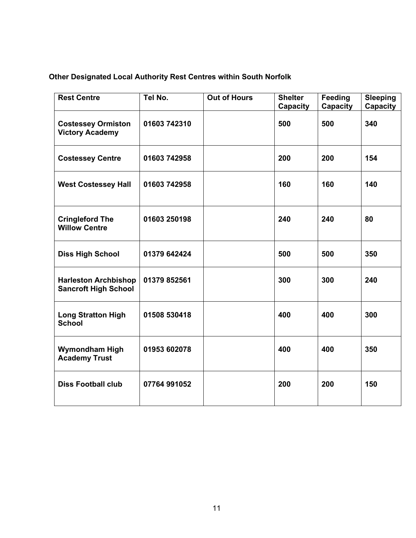# **Other Designated Local Authority Rest Centres within South Norfolk**

| <b>Rest Centre</b>                                         | Tel No.      | <b>Out of Hours</b> | <b>Shelter</b><br>Capacity | <b>Feeding</b><br><b>Capacity</b> | <b>Sleeping</b><br><b>Capacity</b> |
|------------------------------------------------------------|--------------|---------------------|----------------------------|-----------------------------------|------------------------------------|
| <b>Costessey Ormiston</b><br><b>Victory Academy</b>        | 01603 742310 |                     | 500                        | 500                               | 340                                |
| <b>Costessey Centre</b>                                    | 01603 742958 |                     | 200                        | 200                               | 154                                |
| <b>West Costessey Hall</b>                                 | 01603 742958 |                     | 160                        | 160                               | 140                                |
| <b>Cringleford The</b><br><b>Willow Centre</b>             | 01603 250198 |                     | 240                        | 240                               | 80                                 |
| <b>Diss High School</b>                                    | 01379 642424 |                     | 500                        | 500                               | 350                                |
| <b>Harleston Archbishop</b><br><b>Sancroft High School</b> | 01379 852561 |                     | 300                        | 300                               | 240                                |
| <b>Long Stratton High</b><br><b>School</b>                 | 01508 530418 |                     | 400                        | 400                               | 300                                |
| <b>Wymondham High</b><br><b>Academy Trust</b>              | 01953 602078 |                     | 400                        | 400                               | 350                                |
| <b>Diss Football club</b>                                  | 07764 991052 |                     | 200                        | 200                               | 150                                |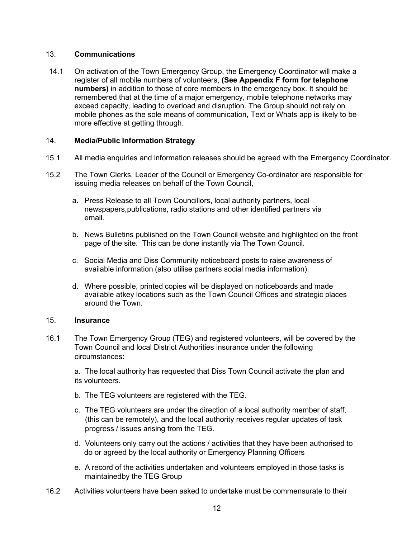### <span id="page-11-0"></span>13. **Communications**

14.1 On activation of the Town Emergency Group, the Emergency Coordinator will make a register of all mobile numbers of volunteers, **(See Appendix F form for telephone numbers)** in addition to those of core members in the emergency box. It should be remembered that at the time of a major emergency, mobile telephone networks may exceed capacity, leading to overload and disruption. The Group should not rely on mobile phones as the sole means of communication, Text or Whats app is likely to be more effective at getting through.

### 14. **Media/Public Information Strategy**

- 15.1 All media enquiries and information releases should be agreed with the Emergency Coordinator.
- 15.2 The Town Clerks, Leader of the Council or Emergency Co-ordinator are responsible for issuing media releases on behalf of the Town Council,
	- a. Press Release to all Town Councillors, local authority partners, local newspapers,publications, radio stations and other identified partners via email.
	- b. News Bulletins published on the Town Council website and highlighted on the front page of the site. This can be done instantly via The Town Council.
	- c. Social Media and Diss Community noticeboard posts to raise awareness of available information (also utilise partners social media information).
	- d. Where possible, printed copies will be displayed on noticeboards and made available atkey locations such as the Town Council Offices and strategic places around the Town.

### 15. **Insurance**

16.1 The Town Emergency Group (TEG) and registered volunteers, will be covered by the Town Council and local District Authorities insurance under the following circumstances:

<span id="page-11-1"></span>a. The local authority has requested that Diss Town Council activate the plan and its volunteers.

- b. The TEG volunteers are registered with the TEG.
- c. The TEG volunteers are under the direction of a local authority member of staff, (this can be remotely), and the local authority receives regular updates of task progress / issues arising from the TEG.
- d. Volunteers only carry out the actions / activities that they have been authorised to do or agreed by the local authority or Emergency Planning Officers
- e. A record of the activities undertaken and volunteers employed in those tasks is maintainedby the TEG Group
- 16.2 Activities volunteers have been asked to undertake must be commensurate to their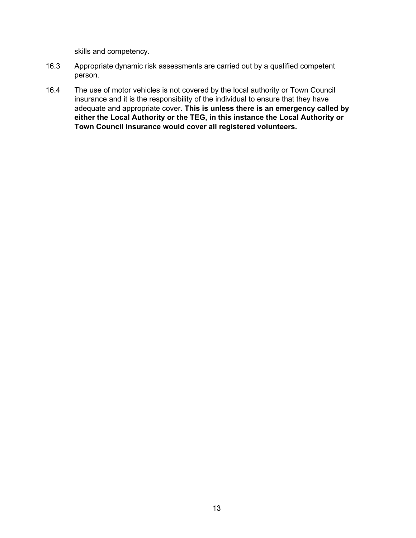skills and competency.

- 16.3 Appropriate dynamic risk assessments are carried out by a qualified competent person.
- 16.4 The use of motor vehicles is not covered by the local authority or Town Council insurance and it is the responsibility of the individual to ensure that they have adequate and appropriate cover. **This is unless there is an emergency called by either the Local Authority or the TEG, in this instance the Local Authority or Town Council insurance would cover all registered volunteers.**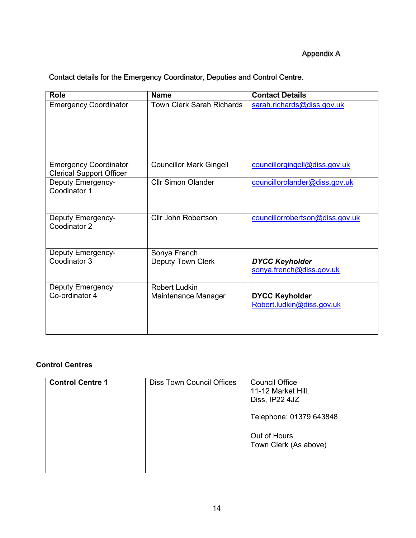### Appendix A

<span id="page-13-0"></span>Contact details for the Emergency Coordinator, Deputies and Control Centre.

| <b>Role</b>                                                     | <b>Name</b>                              | <b>Contact Details</b>                             |
|-----------------------------------------------------------------|------------------------------------------|----------------------------------------------------|
| <b>Emergency Coordinator</b>                                    | <b>Town Clerk Sarah Richards</b>         | sarah.richards@diss.gov.uk                         |
| <b>Emergency Coordinator</b><br><b>Clerical Support Officer</b> | <b>Councillor Mark Gingell</b>           | councillorgingell@diss.gov.uk                      |
| <b>Deputy Emergency-</b><br>Coodinator 1                        | <b>Cllr Simon Olander</b>                | councillorolander@diss.gov.uk                      |
| <b>Deputy Emergency-</b><br>Coodinator 2                        | Cllr John Robertson                      | councillorrobertson@diss.gov.uk                    |
| <b>Deputy Emergency-</b><br>Coodinator 3                        | Sonya French<br><b>Deputy Town Clerk</b> | <b>DYCC Keyholder</b><br>sonya.french@diss.gov.uk  |
| <b>Deputy Emergency</b><br>Co-ordinator 4                       | Robert Ludkin<br>Maintenance Manager     | <b>DYCC Keyholder</b><br>Robert.ludkin@diss.gov.uk |

### **Control Centres**

| <b>Control Centre 1</b> | <b>Diss Town Council Offices</b> | <b>Council Office</b><br>11-12 Market Hill,<br>Diss, IP22 4JZ |
|-------------------------|----------------------------------|---------------------------------------------------------------|
|                         |                                  | Telephone: 01379 643848                                       |
|                         |                                  | Out of Hours<br>Town Clerk (As above)                         |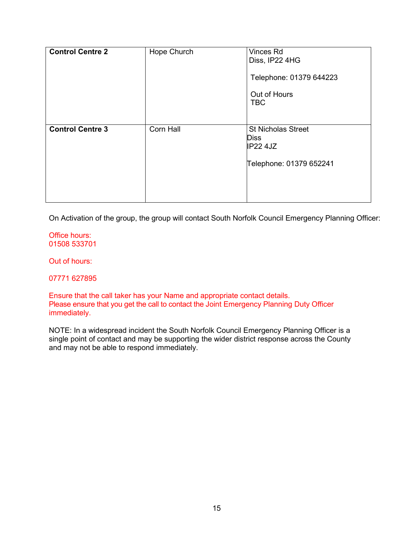| <b>Control Centre 2</b> | Hope Church | Vinces Rd<br>Diss, IP22 4HG<br>Telephone: 01379 644223<br>Out of Hours<br><b>TBC</b> |
|-------------------------|-------------|--------------------------------------------------------------------------------------|
| <b>Control Centre 3</b> | Corn Hall   | <b>St Nicholas Street</b><br><b>Diss</b><br>$IP22$ 4JZ<br>Telephone: 01379 652241    |

On Activation of the group, the group will contact South Norfolk Council Emergency Planning Officer:

Office hours: 01508 533701

Out of hours:

07771 627895

Ensure that the call taker has your Name and appropriate contact details. Please ensure that you get the call to contact the Joint Emergency Planning Duty Officer immediately.

NOTE: In a widespread incident the South Norfolk Council Emergency Planning Officer is a single point of contact and may be supporting the wider district response across the County and may not be able to respond immediately.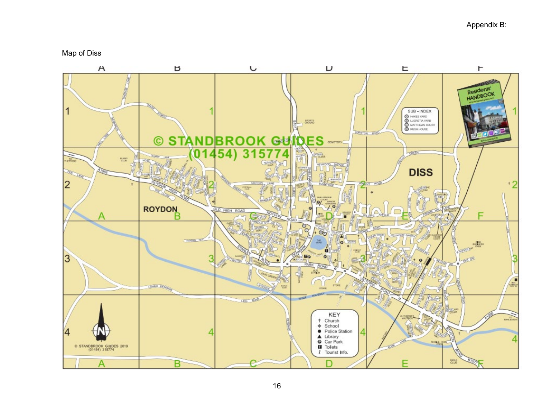Map of Diss

<span id="page-15-0"></span>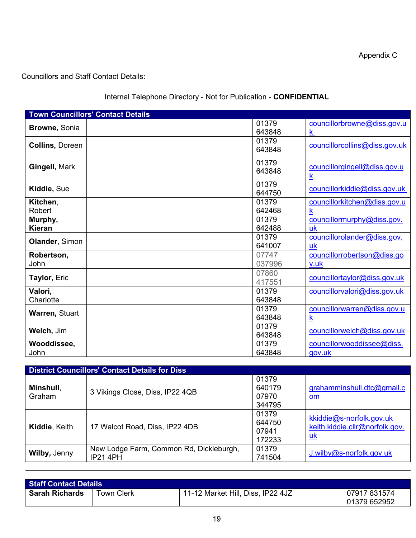Appendix C

Councillors and Staff Contact Details:

### Internal Telephone Directory - Not for Publication - **CONFIDENTIAL**

|                           | <b>Town Councillors' Contact Details</b> |                 |                                                        |
|---------------------------|------------------------------------------|-----------------|--------------------------------------------------------|
| <b>Browne, Sonia</b>      |                                          | 01379<br>643848 | councillorbrowne@diss.gov.u<br>$\overline{\mathsf{k}}$ |
| <b>Collins, Doreen</b>    |                                          | 01379<br>643848 | councillorcollins@diss.gov.uk                          |
| Gingell, Mark             |                                          | 01379<br>643848 | councillorgingell@diss.gov.u<br>$\mathsf k$            |
| Kiddie, Sue               |                                          | 01379<br>644750 | councillorkiddie@diss.gov.uk                           |
| Kitchen,<br><b>Robert</b> |                                          | 01379<br>642468 | councillorkitchen@diss.gov.u<br>k                      |
| Murphy,<br><b>Kieran</b>  |                                          | 01379<br>642488 | councillormurphy@diss.gov.<br>uk                       |
| Olander, Simon            |                                          | 01379<br>641007 | councillorolander@diss.gov.<br>uk                      |
| Robertson,<br>John        |                                          | 07747<br>037996 | councillorrobertson@diss.go<br>v.uk                    |
| Taylor, Eric              |                                          | 07860<br>417551 | councillortaylor@diss.gov.uk                           |
| Valori,<br>Charlotte      |                                          | 01379<br>643848 | councillorvalori@diss.gov.uk                           |
| Warren, Stuart            |                                          | 01379<br>643848 | councillorwarren@diss.gov.u<br>$\mathsf k$             |
| Welch, Jim                |                                          | 01379<br>643848 | councillorwelch@diss.gov.uk                            |
| Wooddissee,<br>John       |                                          | 01379<br>643848 | councillorwooddissee@diss.<br>gov.uk                   |

| <b>District Councillors' Contact Details for Diss</b> |                                                            |                                    |                                                                         |  |  |  |
|-------------------------------------------------------|------------------------------------------------------------|------------------------------------|-------------------------------------------------------------------------|--|--|--|
| Minshull,<br>Graham                                   | 3 Vikings Close, Diss, IP22 4QB                            | 01379<br>640179<br>07970<br>344795 | grahamminshull.dtc@gmail.c<br>$om$                                      |  |  |  |
| Kiddie, Keith                                         | 17 Walcot Road, Diss, IP22 4DB                             | 01379<br>644750<br>07941<br>172233 | kkiddie@s-norfolk.gov.uk<br>keith.kiddie.cllr@norfolk.gov.<br><u>uk</u> |  |  |  |
| Wilby, Jenny                                          | New Lodge Farm, Common Rd, Dickleburgh,<br><b>IP21 4PH</b> | 01379<br>741504                    | J.wilby@s-norfolk.gov.uk                                                |  |  |  |

| <b>Staff Contact Details</b> |                   |                                   |                              |  |  |
|------------------------------|-------------------|-----------------------------------|------------------------------|--|--|
| <b>Sarah Richards</b>        | <b>Town Clerk</b> | 11-12 Market Hill, Diss, IP22 4JZ | 07917 831574<br>01379 652952 |  |  |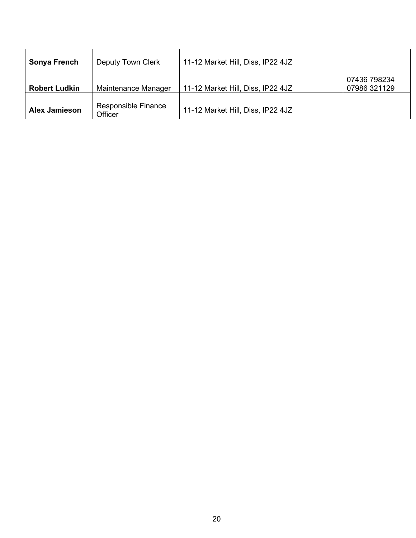| Sonya French         | Deputy Town Clerk              | 11-12 Market Hill, Diss, IP22 4JZ |                              |
|----------------------|--------------------------------|-----------------------------------|------------------------------|
| <b>Robert Ludkin</b> | Maintenance Manager            | 11-12 Market Hill, Diss, IP22 4JZ | 07436 798234<br>07986 321129 |
| <b>Alex Jamieson</b> | Responsible Finance<br>Officer | 11-12 Market Hill, Diss, IP22 4JZ |                              |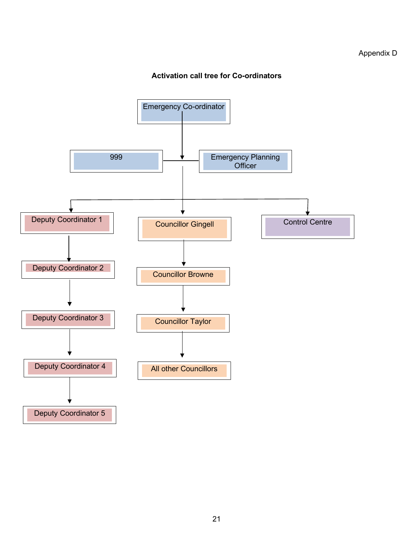### <span id="page-18-0"></span>Appendix D

### **Activation call tree for Co-ordinators**

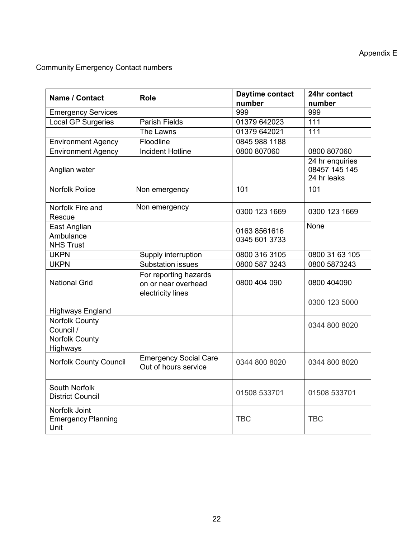Community Emergency Contact numbers

| <b>Name / Contact</b>                                            | <b>Role</b>                                                       | Daytime contact<br>number     | 24hr contact<br>number                          |
|------------------------------------------------------------------|-------------------------------------------------------------------|-------------------------------|-------------------------------------------------|
| <b>Emergency Services</b>                                        |                                                                   | 999                           | 999                                             |
| <b>Local GP Surgeries</b>                                        | <b>Parish Fields</b>                                              | 01379 642023                  | 111                                             |
|                                                                  | The Lawns                                                         | 01379 642021                  | 111                                             |
| <b>Environment Agency</b>                                        | Floodline                                                         | 0845 988 1188                 |                                                 |
| <b>Environment Agency</b>                                        | <b>Incident Hotline</b>                                           | 0800 807060                   | 0800 807060                                     |
| Anglian water                                                    |                                                                   |                               | 24 hr enquiries<br>08457 145 145<br>24 hr leaks |
| <b>Norfolk Police</b>                                            | Non emergency                                                     | 101                           | 101                                             |
| Norfolk Fire and<br>Rescue                                       | Non emergency                                                     | 0300 123 1669                 | 0300 123 1669                                   |
| East Anglian<br>Ambulance<br><b>NHS Trust</b>                    |                                                                   | 0163 8561616<br>0345 601 3733 | None                                            |
| <b>UKPN</b>                                                      | Supply interruption                                               | 0800 316 3105                 | 0800 31 63 105                                  |
| <b>UKPN</b>                                                      | <b>Substation issues</b>                                          | 0800 587 3243                 | 0800 5873243                                    |
| <b>National Grid</b>                                             | For reporting hazards<br>on or near overhead<br>electricity lines | 0800 404 090                  | 0800 404090                                     |
| <b>Highways England</b>                                          |                                                                   |                               | 0300 123 5000                                   |
| <b>Norfolk County</b><br>Council /<br>Norfolk County<br>Highways |                                                                   |                               | 0344 800 8020                                   |
| <b>Norfolk County Council</b>                                    | <b>Emergency Social Care</b><br>Out of hours service              | 0344 800 8020                 | 0344 800 8020                                   |
| South Norfolk<br><b>District Council</b>                         |                                                                   | 01508 533701                  | 01508 533701                                    |
| Norfolk Joint<br><b>Emergency Planning</b><br>Unit               |                                                                   | <b>TBC</b>                    | <b>TBC</b>                                      |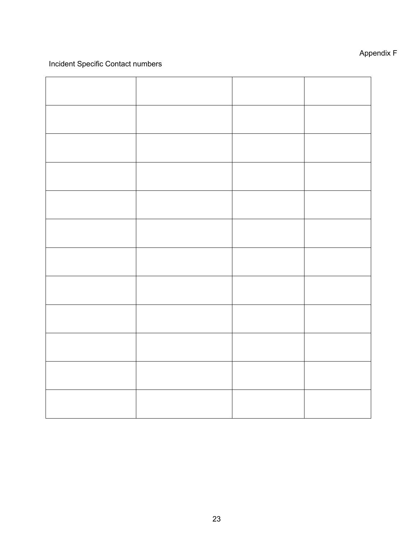### Incident Specific Contact numbers

# Appendix F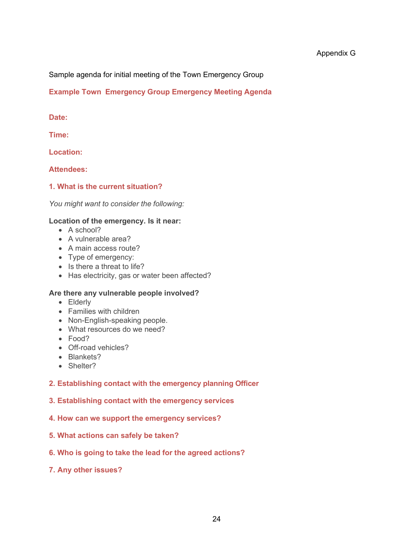<span id="page-21-0"></span>Sample agenda for initial meeting of the Town Emergency Group

### **Example Town Emergency Group Emergency Meeting Agenda**

### **Date:**

**Time:**

**Location:**

**Attendees:**

### **1. What is the current situation?**

*You might want to consider the following:*

### **Location of the emergency. Is it near:**

- A school?
- A vulnerable area?
- A main access route?
- Type of emergency:
- Is there a threat to life?
- Has electricity, gas or water been affected?

### **Are there any vulnerable people involved?**

- Elderly
- Families with children
- Non-English-speaking people.
- What resources do we need?
- Food?
- Off-road vehicles?
- Blankets?
- Shelter?

### **2. Establishing contact with the emergency planning Officer**

- **3. Establishing contact with the emergency services**
- **4. How can we support the emergency services?**
- **5. What actions can safely be taken?**
- **6. Who is going to take the lead for the agreed actions?**
- **7. Any other issues?**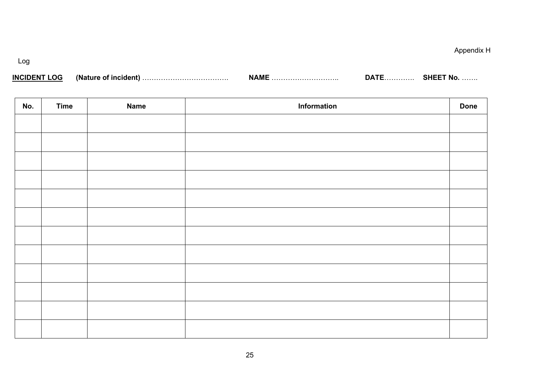Log

| <b>INCIDENT LOG</b> | (Nature of incident) | NAMF | ⊤^∆ר | <b>SHEET No.</b><br>. |
|---------------------|----------------------|------|------|-----------------------|
|---------------------|----------------------|------|------|-----------------------|

<span id="page-22-0"></span>

| No. | <b>Time</b> | <b>Name</b> | Information | <b>Done</b> |
|-----|-------------|-------------|-------------|-------------|
|     |             |             |             |             |
|     |             |             |             |             |
|     |             |             |             |             |
|     |             |             |             |             |
|     |             |             |             |             |
|     |             |             |             |             |
|     |             |             |             |             |
|     |             |             |             |             |
|     |             |             |             |             |
|     |             |             |             |             |
|     |             |             |             |             |
|     |             |             |             |             |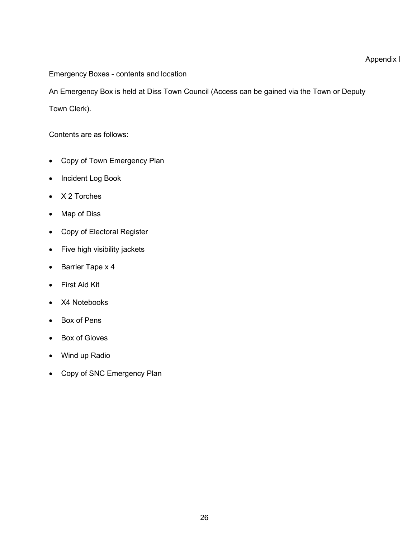Appendix I

<span id="page-23-0"></span>Emergency Boxes - contents and location

An Emergency Box is held at Diss Town Council (Access can be gained via the Town or Deputy

Town Clerk).

Contents are as follows:

- Copy of Town Emergency Plan
- Incident Log Book
- X 2 Torches
- Map of Diss
- Copy of Electoral Register
- Five high visibility jackets
- Barrier Tape x 4
- First Aid Kit
- X4 Notebooks
- Box of Pens
- Box of Gloves
- Wind up Radio
- Copy of SNC Emergency Plan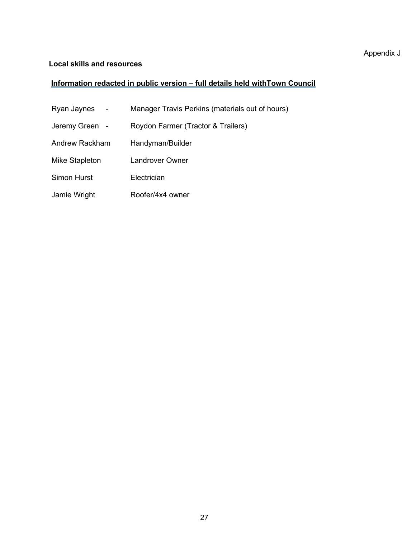### <span id="page-24-0"></span>**Local skills and resources**

### **Information redacted in public version – full details held withTown Council**

- Ryan Jaynes Manager Travis Perkins (materials out of hours)
- Jeremy Green Roydon Farmer (Tractor & Trailers)
- Andrew Rackham Handyman/Builder
- Mike Stapleton Landrover Owner
- Simon Hurst **Electrician**
- Jamie Wright Roofer/4x4 owner

### Appendix J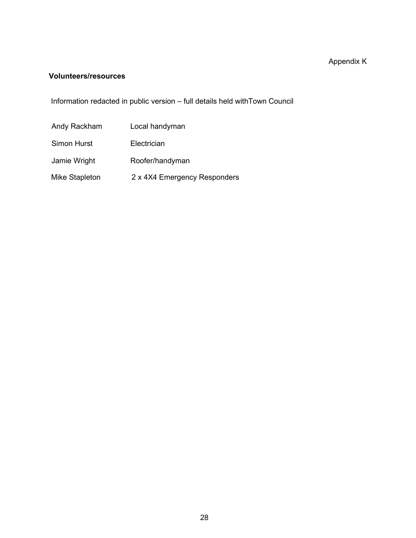# Appendix K

### <span id="page-25-0"></span>**Volunteers/resources**

Information redacted in public version – full details held withTown Council

| Andy Rackham   | Local handyman               |
|----------------|------------------------------|
| Simon Hurst    | Electrician                  |
| Jamie Wright   | Roofer/handyman              |
| Mike Stapleton | 2 x 4X4 Emergency Responders |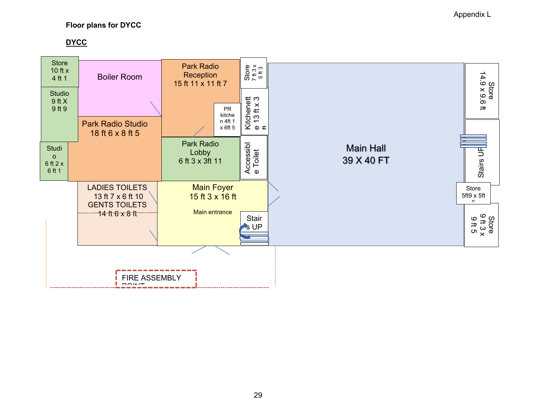### **Floor plans for DYCC**

### **DYCC**

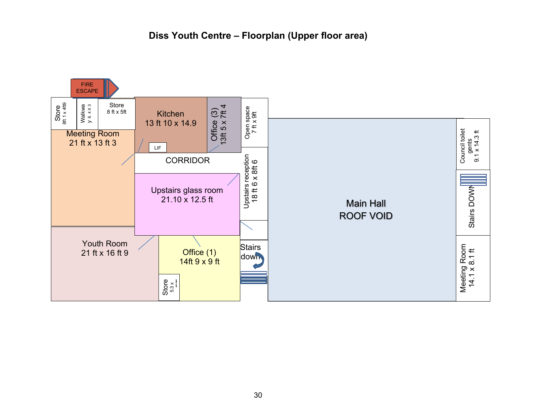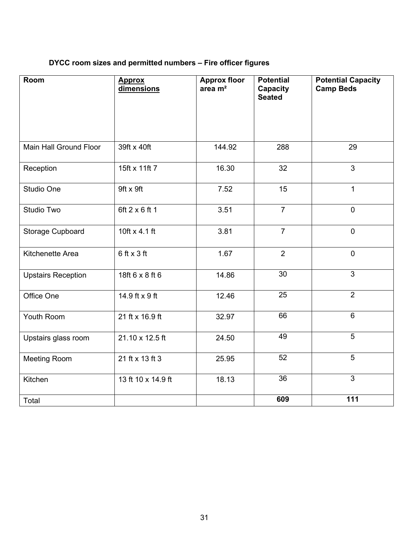# **DYCC room sizes and permitted numbers – Fire officer figures**

| Room                      | <b>Approx</b><br>dimensions | <b>Approx floor</b><br>area $m2$ | <b>Potential</b><br>Capacity<br><b>Seated</b> | <b>Potential Capacity</b><br><b>Camp Beds</b> |
|---------------------------|-----------------------------|----------------------------------|-----------------------------------------------|-----------------------------------------------|
| Main Hall Ground Floor    | 39ft x 40ft                 | 144.92                           | 288                                           | 29                                            |
| Reception                 | 15ft x 11ft 7               | 16.30                            | 32                                            | 3                                             |
| Studio One                | 9ft x 9ft                   | 7.52                             | 15                                            | $\mathbf{1}$                                  |
| <b>Studio Two</b>         | 6ft 2 x 6 ft 1              | 3.51                             | $\overline{7}$                                | $\mathbf 0$                                   |
| Storage Cupboard          | 10ft x 4.1 ft               | 3.81                             | $\overline{7}$                                | $\mathbf 0$                                   |
| Kitchenette Area          | $6$ ft x 3 ft               | 1.67                             | $\overline{2}$                                | $\mathbf 0$                                   |
| <b>Upstairs Reception</b> | 18ft 6 x 8 ft 6             | 14.86                            | $\overline{30}$                               | $\overline{3}$                                |
| Office One                | 14.9 ft x 9 ft              | 12.46                            | 25                                            | $\overline{2}$                                |
| Youth Room                | 21 ft x 16.9 ft             | 32.97                            | 66                                            | $\overline{6}$                                |
| Upstairs glass room       | 21.10 x 12.5 ft             | 24.50                            | 49                                            | 5                                             |
| <b>Meeting Room</b>       | 21 ft x 13 ft 3             | 25.95                            | 52                                            | 5                                             |
| Kitchen                   | 13 ft 10 x 14.9 ft          | 18.13                            | $\overline{36}$                               | $\overline{3}$                                |
| Total                     |                             |                                  | 609                                           | $\overline{111}$                              |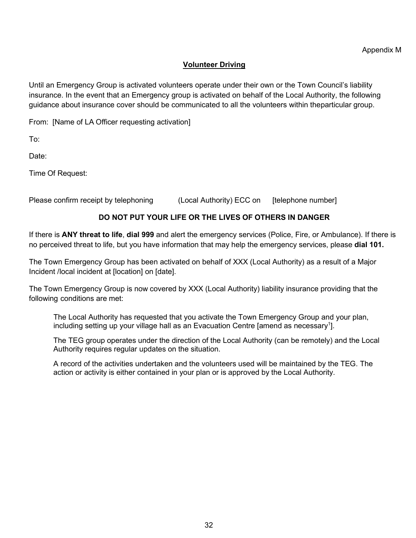### **Volunteer Driving**

<span id="page-29-0"></span>Until an Emergency Group is activated volunteers operate under their own or the Town Council's liability insurance. In the event that an Emergency group is activated on behalf of the Local Authority, the following guidance about insurance cover should be communicated to all the volunteers within theparticular group.

From: [Name of LA Officer requesting activation]

To:

Date:

Time Of Request:

Please confirm receipt by telephoning (Local Authority) ECC on [telephone number]

### **DO NOT PUT YOUR LIFE OR THE LIVES OF OTHERS IN DANGER**

If there is **ANY threat to life**, **dial 999** and alert the emergency services (Police, Fire, or Ambulance). If there is no perceived threat to life, but you have information that may help the emergency services, please **dial 101.**

The Town Emergency Group has been activated on behalf of XXX (Local Authority) as a result of a Major Incident /local incident at [location] on [date].

The Town Emergency Group is now covered by XXX (Local Authority) liability insurance providing that the following conditions are met:

The Local Authority has requested that you activate the Town Emergency Group and your plan, including setting up your village hall as an Evacuation Centre [amend as necessary<sup>1</sup>].

The TEG group operates under the direction of the Local Authority (can be remotely) and the Local Authority requires regular updates on the situation.

A record of the activities undertaken and the volunteers used will be maintained by the TEG. The action or activity is either contained in your plan or is approved by the Local Authority.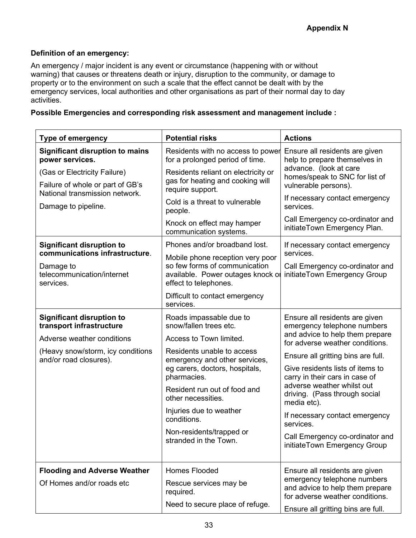### **Definition of an emergency:**

An emergency / major incident is any event or circumstance (happening with or without warning) that causes or threatens death or injury, disruption to the community, or damage to property or to the environment on such a scale that the effect cannot be dealt with by the emergency services, local authorities and other organisations as part of their normal day to day activities.

### **Possible Emergencies and corresponding risk assessment and management include :**

| <b>Type of emergency</b>                                                                                      | <b>Potential risks</b>                                                                                       | <b>Actions</b>                                                                                                 |
|---------------------------------------------------------------------------------------------------------------|--------------------------------------------------------------------------------------------------------------|----------------------------------------------------------------------------------------------------------------|
| <b>Significant disruption to mains</b><br>power services.                                                     | Residents with no access to power<br>for a prolonged period of time.                                         | Ensure all residents are given<br>help to prepare themselves in                                                |
| (Gas or Electricity Failure)<br>Failure of whole or part of GB's<br>National transmission network.            | Residents reliant on electricity or<br>gas for heating and cooking will<br>require support.                  | advance. (look at care<br>homes/speak to SNC for list of<br>vulnerable persons).                               |
| Damage to pipeline.                                                                                           | Cold is a threat to vulnerable<br>people.                                                                    | If necessary contact emergency<br>services.                                                                    |
|                                                                                                               | Knock on effect may hamper<br>communication systems.                                                         | Call Emergency co-ordinator and<br>initiateTown Emergency Plan.                                                |
| <b>Significant disruption to</b><br>communications infrastructure.<br>Damage to<br>telecommunication/internet | Phones and/or broadband lost.<br>Mobile phone reception very poor<br>so few forms of communication           | If necessary contact emergency<br>services.<br>Call Emergency co-ordinator and<br>initiateTown Emergency Group |
| services.                                                                                                     | available. Power outages knock or<br>effect to telephones.<br>Difficult to contact emergency<br>services.    |                                                                                                                |
| <b>Significant disruption to</b><br>transport infrastructure                                                  | Roads impassable due to<br>snow/fallen trees etc.                                                            | Ensure all residents are given<br>emergency telephone numbers                                                  |
| Adverse weather conditions                                                                                    | Access to Town limited.                                                                                      | and advice to help them prepare<br>for adverse weather conditions.                                             |
| (Heavy snow/storm, icy conditions<br>and/or road closures).                                                   | Residents unable to access<br>emergency and other services,<br>eg carers, doctors, hospitals,<br>pharmacies. | Ensure all gritting bins are full.<br>Give residents lists of items to<br>carry in their cars in case of       |
|                                                                                                               | Resident run out of food and<br>other necessities.                                                           | adverse weather whilst out<br>driving. (Pass through social<br>media etc).                                     |
|                                                                                                               | Injuries due to weather<br>conditions.                                                                       | If necessary contact emergency<br>services.                                                                    |
|                                                                                                               | Non-residents/trapped or<br>stranded in the Town.                                                            | Call Emergency co-ordinator and<br>initiateTown Emergency Group                                                |
| <b>Flooding and Adverse Weather</b>                                                                           | <b>Homes Flooded</b>                                                                                         | Ensure all residents are given                                                                                 |
| Of Homes and/or roads etc                                                                                     | Rescue services may be<br>required.                                                                          | emergency telephone numbers<br>and advice to help them prepare<br>for adverse weather conditions.              |
|                                                                                                               | Need to secure place of refuge.                                                                              | Ensure all gritting bins are full.                                                                             |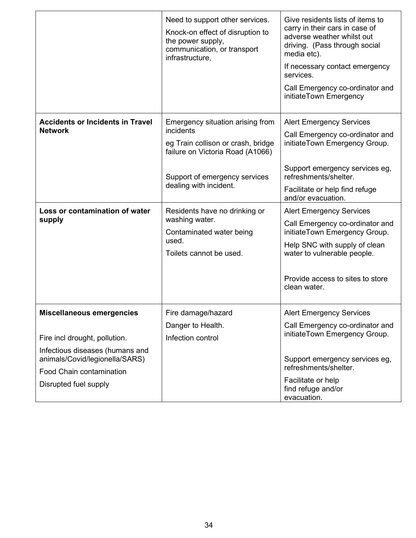|                                                                                                                        | Need to support other services.<br>Knock-on effect of disruption to<br>the power supply,<br>communication, or transport<br>infrastructure,                                         | Give residents lists of items to<br>carry in their cars in case of<br>adverse weather whilst out<br>driving. (Pass through social<br>media etc).<br>If necessary contact emergency<br>services.<br>Call Emergency co-ordinator and<br>initiateTown Emergency |
|------------------------------------------------------------------------------------------------------------------------|------------------------------------------------------------------------------------------------------------------------------------------------------------------------------------|--------------------------------------------------------------------------------------------------------------------------------------------------------------------------------------------------------------------------------------------------------------|
| <b>Accidents or Incidents in Travel</b><br><b>Network</b>                                                              | Emergency situation arising from<br>incidents<br>eg Train collison or crash, bridge<br>failure on Victoria Road (A1066)<br>Support of emergency services<br>dealing with incident. | <b>Alert Emergency Services</b><br>Call Emergency co-ordinator and<br>initiateTown Emergency Group.<br>Support emergency services eg,<br>refreshments/shelter.<br>Facilitate or help find refuge<br>and/or evacuation.                                       |
| Loss or contamination of water<br>supply                                                                               | Residents have no drinking or<br>washing water.<br>Contaminated water being<br>used.<br>Toilets cannot be used.                                                                    | <b>Alert Emergency Services</b><br>Call Emergency co-ordinator and<br>initiateTown Emergency Group.<br>Help SNC with supply of clean<br>water to vulnerable people.<br>Provide access to sites to store<br>clean water.                                      |
| <b>Miscellaneous emergencies</b><br>Fire incl drought, pollution.                                                      | Fire damage/hazard<br>Danger to Health.<br>Infection control                                                                                                                       | <b>Alert Emergency Services</b><br>Call Emergency co-ordinator and<br>initiateTown Emergency Group.                                                                                                                                                          |
| Infectious diseases (humans and<br>animals/Covid/legionella/SARS)<br>Food Chain contamination<br>Disrupted fuel supply |                                                                                                                                                                                    | Support emergency services eg,<br>refreshments/shelter.<br>Facilitate or help<br>find refuge and/or<br>evacuation.                                                                                                                                           |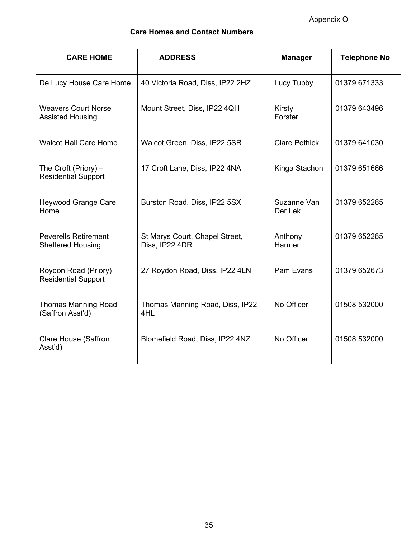Appendix O

### **Care Homes and Contact Numbers**

| <b>CARE HOME</b>                                        | <b>ADDRESS</b>                                   | <b>Manager</b>         | <b>Telephone No</b> |
|---------------------------------------------------------|--------------------------------------------------|------------------------|---------------------|
| De Lucy House Care Home                                 | 40 Victoria Road, Diss, IP22 2HZ                 | Lucy Tubby             | 01379 671333        |
| <b>Weavers Court Norse</b><br><b>Assisted Housing</b>   | Mount Street, Diss, IP22 4QH                     | Kirsty<br>Forster      | 01379 643496        |
| <b>Walcot Hall Care Home</b>                            | Walcot Green, Diss, IP22 5SR                     | <b>Clare Pethick</b>   | 01379 641030        |
| The Croft (Priory) $-$<br><b>Residential Support</b>    | 17 Croft Lane, Diss, IP22 4NA                    | Kinga Stachon          | 01379 651666        |
| <b>Heywood Grange Care</b><br>Home                      | Burston Road, Diss, IP22 5SX                     | Suzanne Van<br>Der Lek | 01379 652265        |
| <b>Peverells Retirement</b><br><b>Sheltered Housing</b> | St Marys Court, Chapel Street,<br>Diss, IP22 4DR | Anthony<br>Harmer      | 01379 652265        |
| Roydon Road (Priory)<br><b>Residential Support</b>      | 27 Roydon Road, Diss, IP22 4LN                   | Pam Evans              | 01379 652673        |
| <b>Thomas Manning Road</b><br>(Saffron Asst'd)          | Thomas Manning Road, Diss, IP22<br>4HL           | No Officer             | 01508 532000        |
| <b>Clare House (Saffron</b><br>Asst'd)                  | Blomefield Road, Diss, IP22 4NZ                  | No Officer             | 01508 532000        |